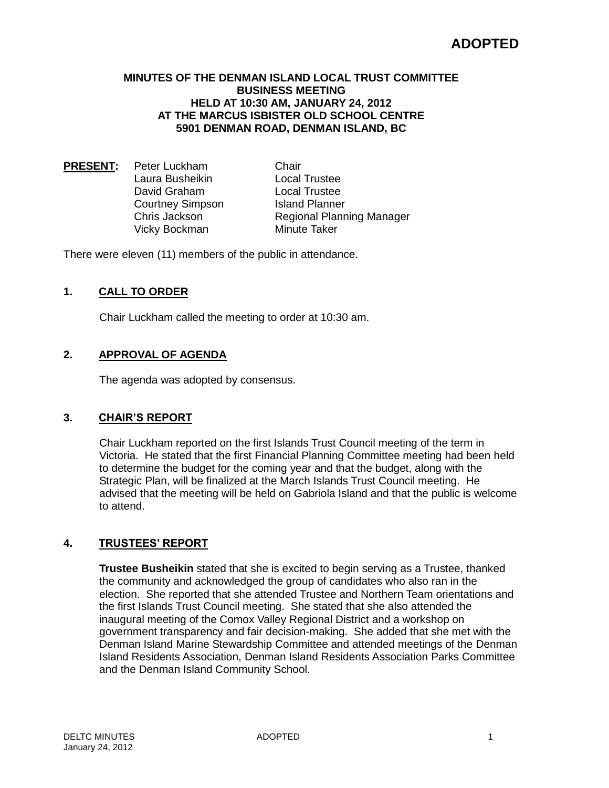#### **MINUTES OF THE DENMAN ISLAND LOCAL TRUST COMMITTEE BUSINESS MEETING HELD AT 10:30 AM, JANUARY 24, 2012 AT THE MARCUS ISBISTER OLD SCHOOL CENTRE 5901 DENMAN ROAD, DENMAN ISLAND, BC**

**PRESENT:** Peter Luckham Chair Laura Busheikin Local Trustee David Graham Local Trustee Courtney Simpson Island Planner Vicky Bockman Minute Taker

Chris Jackson Regional Planning Manager

There were eleven (11) members of the public in attendance.

## **1. CALL TO ORDER**

Chair Luckham called the meeting to order at 10:30 am.

### **2. APPROVAL OF AGENDA**

The agenda was adopted by consensus.

### **3. CHAIR'S REPORT**

Chair Luckham reported on the first Islands Trust Council meeting of the term in Victoria. He stated that the first Financial Planning Committee meeting had been held to determine the budget for the coming year and that the budget, along with the Strategic Plan, will be finalized at the March Islands Trust Council meeting. He advised that the meeting will be held on Gabriola Island and that the public is welcome to attend.

# **4. TRUSTEES' REPORT**

**Trustee Busheikin** stated that she is excited to begin serving as a Trustee, thanked the community and acknowledged the group of candidates who also ran in the election. She reported that she attended Trustee and Northern Team orientations and the first Islands Trust Council meeting. She stated that she also attended the inaugural meeting of the Comox Valley Regional District and a workshop on government transparency and fair decision-making. She added that she met with the Denman Island Marine Stewardship Committee and attended meetings of the Denman Island Residents Association, Denman Island Residents Association Parks Committee and the Denman Island Community School.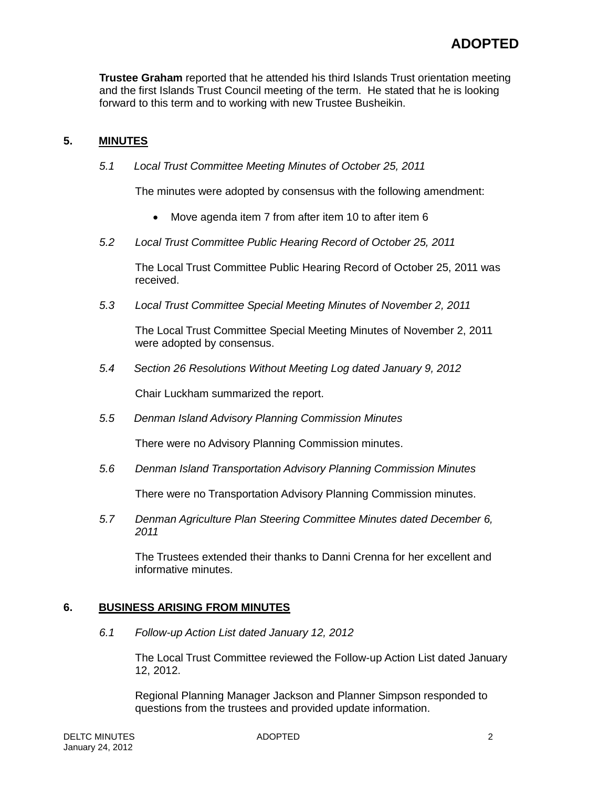**Trustee Graham** reported that he attended his third Islands Trust orientation meeting and the first Islands Trust Council meeting of the term. He stated that he is looking forward to this term and to working with new Trustee Busheikin.

## **5. MINUTES**

*5.1 Local Trust Committee Meeting Minutes of October 25, 2011*

The minutes were adopted by consensus with the following amendment:

- Move agenda item 7 from after item 10 to after item 6
- *5.2 Local Trust Committee Public Hearing Record of October 25, 2011*

The Local Trust Committee Public Hearing Record of October 25, 2011 was received.

*5.3 Local Trust Committee Special Meeting Minutes of November 2, 2011*

The Local Trust Committee Special Meeting Minutes of November 2, 2011 were adopted by consensus.

*5.4 Section 26 Resolutions Without Meeting Log dated January 9, 2012*

Chair Luckham summarized the report.

*5.5 Denman Island Advisory Planning Commission Minutes*

There were no Advisory Planning Commission minutes.

*5.6 Denman Island Transportation Advisory Planning Commission Minutes*

There were no Transportation Advisory Planning Commission minutes.

*5.7 Denman Agriculture Plan Steering Committee Minutes dated December 6, 2011*

The Trustees extended their thanks to Danni Crenna for her excellent and informative minutes.

### **6. BUSINESS ARISING FROM MINUTES**

*6.1 Follow-up Action List dated January 12, 2012*

The Local Trust Committee reviewed the Follow-up Action List dated January 12, 2012.

Regional Planning Manager Jackson and Planner Simpson responded to questions from the trustees and provided update information.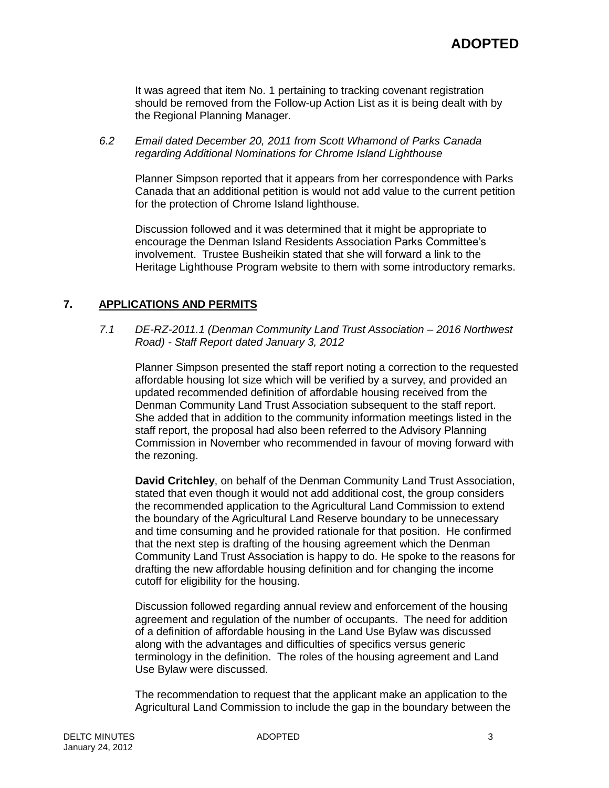It was agreed that item No. 1 pertaining to tracking covenant registration should be removed from the Follow-up Action List as it is being dealt with by the Regional Planning Manager.

*6.2 Email dated December 20, 2011 from Scott Whamond of Parks Canada regarding Additional Nominations for Chrome Island Lighthouse*

Planner Simpson reported that it appears from her correspondence with Parks Canada that an additional petition is would not add value to the current petition for the protection of Chrome Island lighthouse.

Discussion followed and it was determined that it might be appropriate to encourage the Denman Island Residents Association Parks Committee's involvement. Trustee Busheikin stated that she will forward a link to the Heritage Lighthouse Program website to them with some introductory remarks.

## **7. APPLICATIONS AND PERMITS**

*7.1 DE-RZ-2011.1 (Denman Community Land Trust Association – 2016 Northwest Road) - Staff Report dated January 3, 2012*

Planner Simpson presented the staff report noting a correction to the requested affordable housing lot size which will be verified by a survey, and provided an updated recommended definition of affordable housing received from the Denman Community Land Trust Association subsequent to the staff report. She added that in addition to the community information meetings listed in the staff report, the proposal had also been referred to the Advisory Planning Commission in November who recommended in favour of moving forward with the rezoning.

**David Critchley**, on behalf of the Denman Community Land Trust Association, stated that even though it would not add additional cost, the group considers the recommended application to the Agricultural Land Commission to extend the boundary of the Agricultural Land Reserve boundary to be unnecessary and time consuming and he provided rationale for that position. He confirmed that the next step is drafting of the housing agreement which the Denman Community Land Trust Association is happy to do. He spoke to the reasons for drafting the new affordable housing definition and for changing the income cutoff for eligibility for the housing.

Discussion followed regarding annual review and enforcement of the housing agreement and regulation of the number of occupants. The need for addition of a definition of affordable housing in the Land Use Bylaw was discussed along with the advantages and difficulties of specifics versus generic terminology in the definition. The roles of the housing agreement and Land Use Bylaw were discussed.

The recommendation to request that the applicant make an application to the Agricultural Land Commission to include the gap in the boundary between the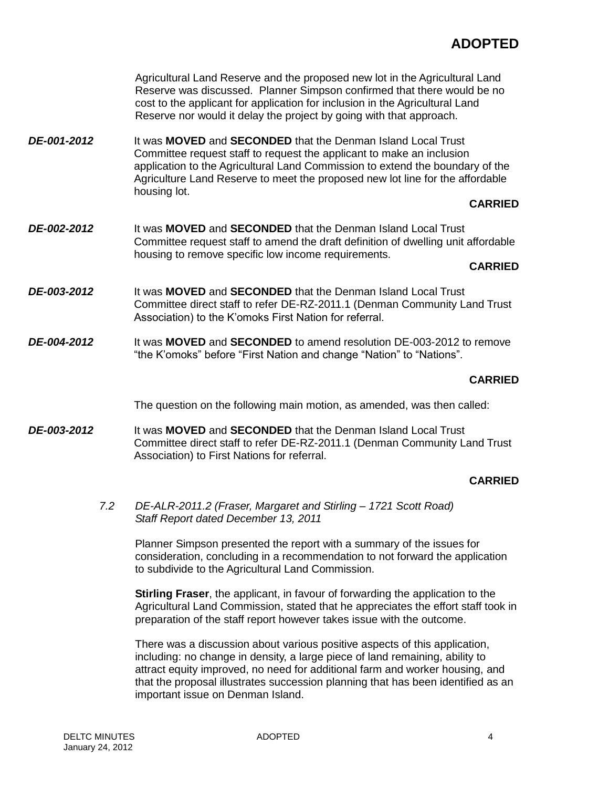Agricultural Land Reserve and the proposed new lot in the Agricultural Land Reserve was discussed. Planner Simpson confirmed that there would be no cost to the applicant for application for inclusion in the Agricultural Land Reserve nor would it delay the project by going with that approach. *DE-001-2012* It was **MOVED** and **SECONDED** that the Denman Island Local Trust Committee request staff to request the applicant to make an inclusion application to the Agricultural Land Commission to extend the boundary of the Agriculture Land Reserve to meet the proposed new lot line for the affordable housing lot. **CARRIED** *DE-002-2012* It was **MOVED** and **SECONDED** that the Denman Island Local Trust Committee request staff to amend the draft definition of dwelling unit affordable housing to remove specific low income requirements. **CARRIED** *DE-003-2012* It was **MOVED** and **SECONDED** that the Denman Island Local Trust Committee direct staff to refer DE-RZ-2011.1 (Denman Community Land Trust Association) to the K'omoks First Nation for referral. *DE-004-2012* It was **MOVED** and **SECONDED** to amend resolution DE-003-2012 to remove "the K'omoks" before "First Nation and change "Nation" to "Nations". **CARRIED** The question on the following main motion, as amended, was then called: *DE-003-2012* It was **MOVED** and **SECONDED** that the Denman Island Local Trust Committee direct staff to refer DE-RZ-2011.1 (Denman Community Land Trust Association) to First Nations for referral. **CARRIED**

*7.2 DE-ALR-2011.2 (Fraser, Margaret and Stirling – 1721 Scott Road) Staff Report dated December 13, 2011*

Planner Simpson presented the report with a summary of the issues for consideration, concluding in a recommendation to not forward the application to subdivide to the Agricultural Land Commission.

**Stirling Fraser**, the applicant, in favour of forwarding the application to the Agricultural Land Commission, stated that he appreciates the effort staff took in preparation of the staff report however takes issue with the outcome.

There was a discussion about various positive aspects of this application, including: no change in density, a large piece of land remaining, ability to attract equity improved, no need for additional farm and worker housing, and that the proposal illustrates succession planning that has been identified as an important issue on Denman Island.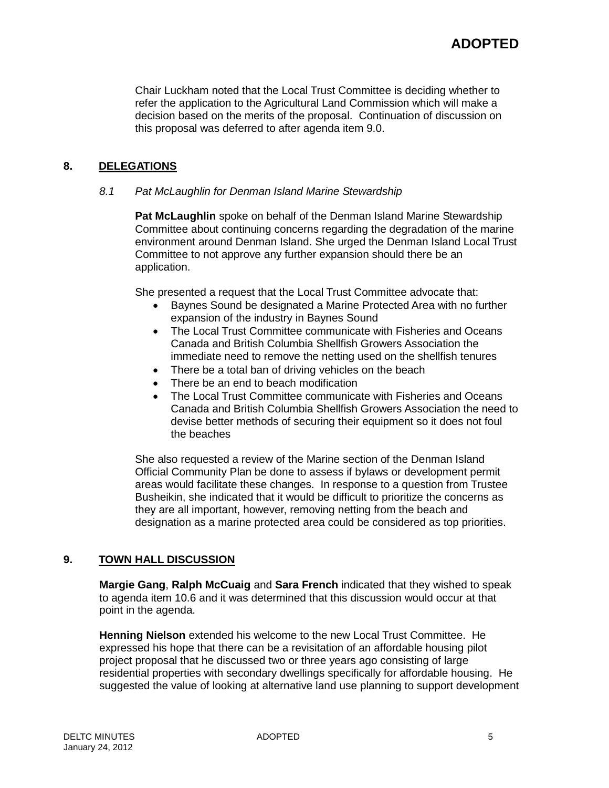Chair Luckham noted that the Local Trust Committee is deciding whether to refer the application to the Agricultural Land Commission which will make a decision based on the merits of the proposal. Continuation of discussion on this proposal was deferred to after agenda item 9.0.

# **8. DELEGATIONS**

### *8.1 Pat McLaughlin for Denman Island Marine Stewardship*

**Pat McLaughlin** spoke on behalf of the Denman Island Marine Stewardship Committee about continuing concerns regarding the degradation of the marine environment around Denman Island. She urged the Denman Island Local Trust Committee to not approve any further expansion should there be an application.

She presented a request that the Local Trust Committee advocate that:

- Baynes Sound be designated a Marine Protected Area with no further expansion of the industry in Baynes Sound
- The Local Trust Committee communicate with Fisheries and Oceans Canada and British Columbia Shellfish Growers Association the immediate need to remove the netting used on the shellfish tenures
- There be a total ban of driving vehicles on the beach
- There be an end to beach modification
- The Local Trust Committee communicate with Fisheries and Oceans Canada and British Columbia Shellfish Growers Association the need to devise better methods of securing their equipment so it does not foul the beaches

She also requested a review of the Marine section of the Denman Island Official Community Plan be done to assess if bylaws or development permit areas would facilitate these changes. In response to a question from Trustee Busheikin, she indicated that it would be difficult to prioritize the concerns as they are all important, however, removing netting from the beach and designation as a marine protected area could be considered as top priorities.

### **9. TOWN HALL DISCUSSION**

**Margie Gang**, **Ralph McCuaig** and **Sara French** indicated that they wished to speak to agenda item 10.6 and it was determined that this discussion would occur at that point in the agenda.

**Henning Nielson** extended his welcome to the new Local Trust Committee. He expressed his hope that there can be a revisitation of an affordable housing pilot project proposal that he discussed two or three years ago consisting of large residential properties with secondary dwellings specifically for affordable housing. He suggested the value of looking at alternative land use planning to support development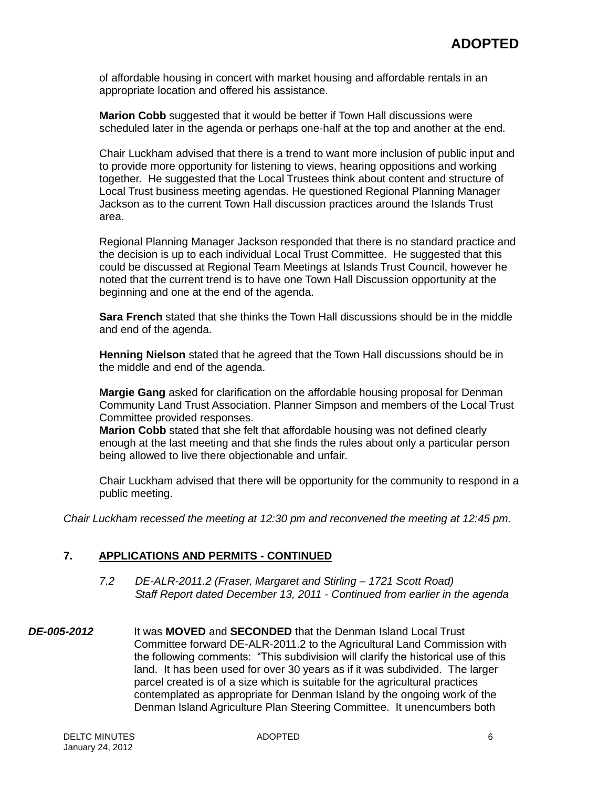of affordable housing in concert with market housing and affordable rentals in an appropriate location and offered his assistance.

**Marion Cobb** suggested that it would be better if Town Hall discussions were scheduled later in the agenda or perhaps one-half at the top and another at the end.

Chair Luckham advised that there is a trend to want more inclusion of public input and to provide more opportunity for listening to views, hearing oppositions and working together. He suggested that the Local Trustees think about content and structure of Local Trust business meeting agendas. He questioned Regional Planning Manager Jackson as to the current Town Hall discussion practices around the Islands Trust area.

Regional Planning Manager Jackson responded that there is no standard practice and the decision is up to each individual Local Trust Committee. He suggested that this could be discussed at Regional Team Meetings at Islands Trust Council, however he noted that the current trend is to have one Town Hall Discussion opportunity at the beginning and one at the end of the agenda.

**Sara French** stated that she thinks the Town Hall discussions should be in the middle and end of the agenda.

**Henning Nielson** stated that he agreed that the Town Hall discussions should be in the middle and end of the agenda.

**Margie Gang** asked for clarification on the affordable housing proposal for Denman Community Land Trust Association. Planner Simpson and members of the Local Trust Committee provided responses.

**Marion Cobb** stated that she felt that affordable housing was not defined clearly enough at the last meeting and that she finds the rules about only a particular person being allowed to live there objectionable and unfair.

Chair Luckham advised that there will be opportunity for the community to respond in a public meeting.

*Chair Luckham recessed the meeting at 12:30 pm and reconvened the meeting at 12:45 pm.*

#### **7. APPLICATIONS AND PERMITS - CONTINUED**

- *7.2 DE-ALR-2011.2 (Fraser, Margaret and Stirling – 1721 Scott Road) Staff Report dated December 13, 2011 - Continued from earlier in the agenda*
- *DE-005-2012* It was **MOVED** and **SECONDED** that the Denman Island Local Trust Committee forward DE-ALR-2011.2 to the Agricultural Land Commission with the following comments: "This subdivision will clarify the historical use of this land. It has been used for over 30 years as if it was subdivided. The larger parcel created is of a size which is suitable for the agricultural practices contemplated as appropriate for Denman Island by the ongoing work of the Denman Island Agriculture Plan Steering Committee. It unencumbers both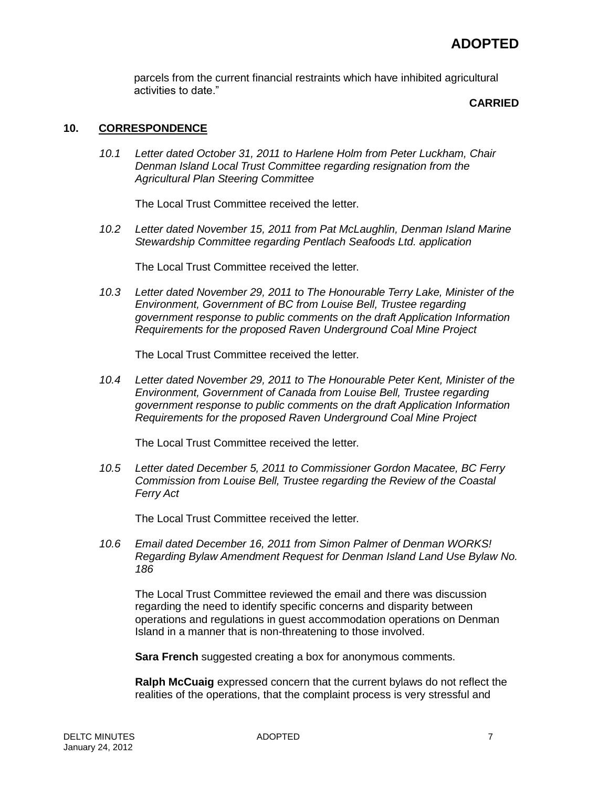parcels from the current financial restraints which have inhibited agricultural activities to date."

#### **CARRIED**

## **10. CORRESPONDENCE**

*10.1 Letter dated October 31, 2011 to Harlene Holm from Peter Luckham, Chair Denman Island Local Trust Committee regarding resignation from the Agricultural Plan Steering Committee*

The Local Trust Committee received the letter.

*10.2 Letter dated November 15, 2011 from Pat McLaughlin, Denman Island Marine Stewardship Committee regarding Pentlach Seafoods Ltd. application*

The Local Trust Committee received the letter.

*10.3 Letter dated November 29, 2011 to The Honourable Terry Lake, Minister of the Environment, Government of BC from Louise Bell, Trustee regarding government response to public comments on the draft Application Information Requirements for the proposed Raven Underground Coal Mine Project*

The Local Trust Committee received the letter.

*10.4 Letter dated November 29, 2011 to The Honourable Peter Kent, Minister of the Environment, Government of Canada from Louise Bell, Trustee regarding government response to public comments on the draft Application Information Requirements for the proposed Raven Underground Coal Mine Project*

The Local Trust Committee received the letter.

*10.5 Letter dated December 5, 2011 to Commissioner Gordon Macatee, BC Ferry Commission from Louise Bell, Trustee regarding the Review of the Coastal Ferry Act*

The Local Trust Committee received the letter.

*10.6 Email dated December 16, 2011 from Simon Palmer of Denman WORKS! Regarding Bylaw Amendment Request for Denman Island Land Use Bylaw No. 186*

The Local Trust Committee reviewed the email and there was discussion regarding the need to identify specific concerns and disparity between operations and regulations in guest accommodation operations on Denman Island in a manner that is non-threatening to those involved.

**Sara French** suggested creating a box for anonymous comments.

**Ralph McCuaig** expressed concern that the current bylaws do not reflect the realities of the operations, that the complaint process is very stressful and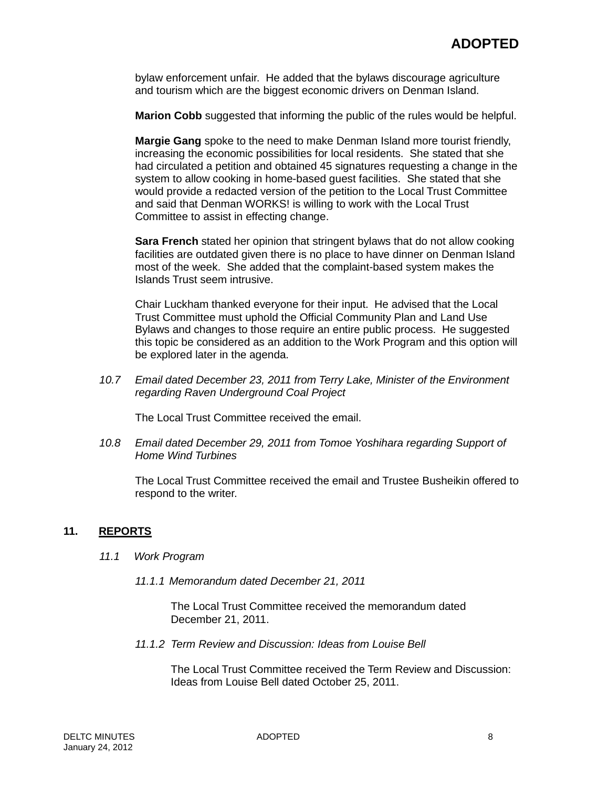bylaw enforcement unfair. He added that the bylaws discourage agriculture and tourism which are the biggest economic drivers on Denman Island.

**Marion Cobb** suggested that informing the public of the rules would be helpful.

**Margie Gang** spoke to the need to make Denman Island more tourist friendly, increasing the economic possibilities for local residents. She stated that she had circulated a petition and obtained 45 signatures requesting a change in the system to allow cooking in home-based guest facilities. She stated that she would provide a redacted version of the petition to the Local Trust Committee and said that Denman WORKS! is willing to work with the Local Trust Committee to assist in effecting change.

**Sara French** stated her opinion that stringent bylaws that do not allow cooking facilities are outdated given there is no place to have dinner on Denman Island most of the week. She added that the complaint-based system makes the Islands Trust seem intrusive.

Chair Luckham thanked everyone for their input. He advised that the Local Trust Committee must uphold the Official Community Plan and Land Use Bylaws and changes to those require an entire public process. He suggested this topic be considered as an addition to the Work Program and this option will be explored later in the agenda.

*10.7 Email dated December 23, 2011 from Terry Lake, Minister of the Environment regarding Raven Underground Coal Project*

The Local Trust Committee received the email.

*10.8 Email dated December 29, 2011 from Tomoe Yoshihara regarding Support of Home Wind Turbines*

The Local Trust Committee received the email and Trustee Busheikin offered to respond to the writer.

### **11. REPORTS**

- *11.1 Work Program*
	- *11.1.1 Memorandum dated December 21, 2011*

The Local Trust Committee received the memorandum dated December 21, 2011.

*11.1.2 Term Review and Discussion: Ideas from Louise Bell*

The Local Trust Committee received the Term Review and Discussion: Ideas from Louise Bell dated October 25, 2011.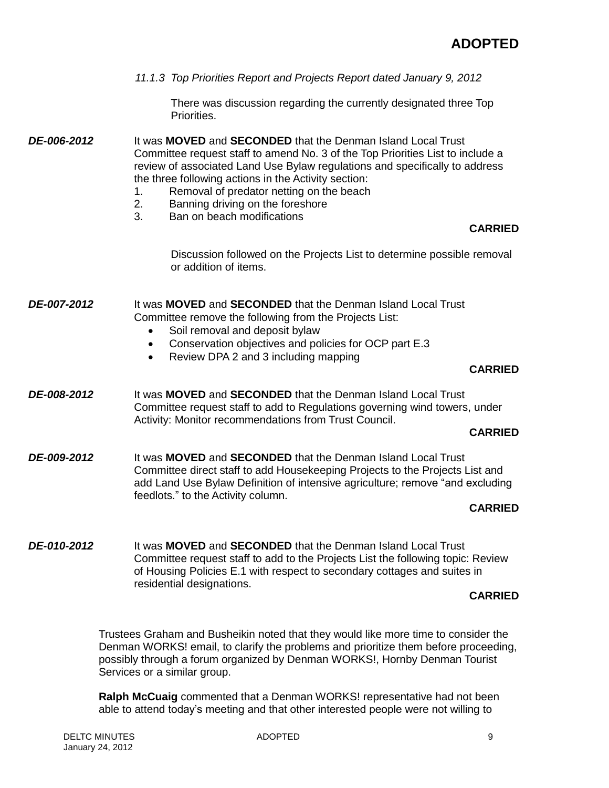|             | 11.1.3 Top Priorities Report and Projects Report dated January 9, 2012                                                                                                                                                                                                                                                                                                                                                                                |
|-------------|-------------------------------------------------------------------------------------------------------------------------------------------------------------------------------------------------------------------------------------------------------------------------------------------------------------------------------------------------------------------------------------------------------------------------------------------------------|
|             | There was discussion regarding the currently designated three Top<br>Priorities.                                                                                                                                                                                                                                                                                                                                                                      |
| DE-006-2012 | It was <b>MOVED</b> and <b>SECONDED</b> that the Denman Island Local Trust<br>Committee request staff to amend No. 3 of the Top Priorities List to include a<br>review of associated Land Use Bylaw regulations and specifically to address<br>the three following actions in the Activity section:<br>Removal of predator netting on the beach<br>1.<br>2.<br>Banning driving on the foreshore<br>3.<br>Ban on beach modifications<br><b>CARRIED</b> |
|             | Discussion followed on the Projects List to determine possible removal<br>or addition of items.                                                                                                                                                                                                                                                                                                                                                       |
| DE-007-2012 | It was <b>MOVED</b> and <b>SECONDED</b> that the Denman Island Local Trust<br>Committee remove the following from the Projects List:<br>Soil removal and deposit bylaw<br>Conservation objectives and policies for OCP part E.3<br>$\bullet$<br>Review DPA 2 and 3 including mapping<br>$\bullet$<br><b>CARRIED</b>                                                                                                                                   |
| DE-008-2012 | It was <b>MOVED</b> and <b>SECONDED</b> that the Denman Island Local Trust<br>Committee request staff to add to Regulations governing wind towers, under<br>Activity: Monitor recommendations from Trust Council.<br><b>CARRIED</b>                                                                                                                                                                                                                   |
| DE-009-2012 | It was <b>MOVED</b> and <b>SECONDED</b> that the Denman Island Local Trust<br>Committee direct staff to add Housekeeping Projects to the Projects List and<br>add Land Use Bylaw Definition of intensive agriculture; remove "and excluding<br>feedlots." to the Activity column.<br><b>CARRIED</b>                                                                                                                                                   |
| DE-010-2012 | It was <b>MOVED</b> and <b>SECONDED</b> that the Denman Island Local Trust<br>Committee request staff to add to the Projects List the following topic: Review<br>of Housing Policies E.1 with respect to secondary cottages and suites in                                                                                                                                                                                                             |

### **CARRIED**

Trustees Graham and Busheikin noted that they would like more time to consider the Denman WORKS! email, to clarify the problems and prioritize them before proceeding, possibly through a forum organized by Denman WORKS!, Hornby Denman Tourist Services or a similar group.

**Ralph McCuaig** commented that a Denman WORKS! representative had not been able to attend today's meeting and that other interested people were not willing to

residential designations.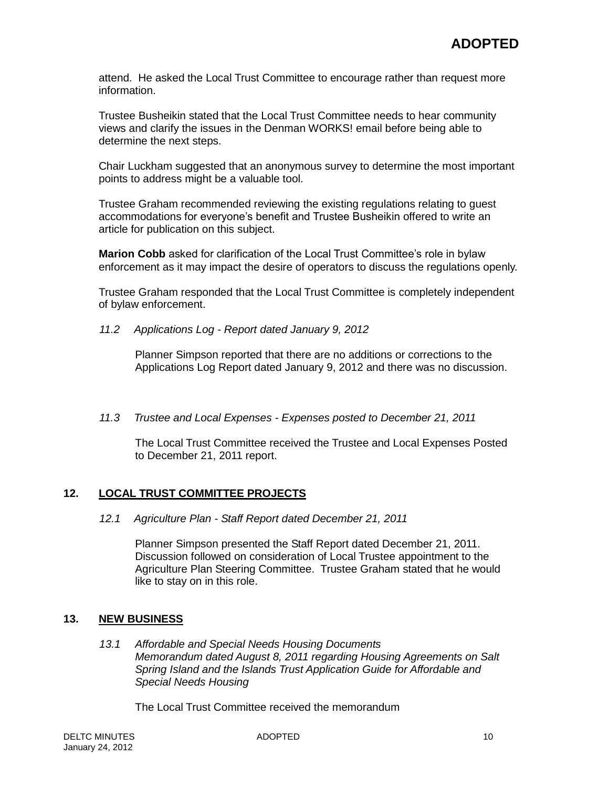attend. He asked the Local Trust Committee to encourage rather than request more information.

Trustee Busheikin stated that the Local Trust Committee needs to hear community views and clarify the issues in the Denman WORKS! email before being able to determine the next steps.

Chair Luckham suggested that an anonymous survey to determine the most important points to address might be a valuable tool.

Trustee Graham recommended reviewing the existing regulations relating to guest accommodations for everyone's benefit and Trustee Busheikin offered to write an article for publication on this subject.

**Marion Cobb** asked for clarification of the Local Trust Committee's role in bylaw enforcement as it may impact the desire of operators to discuss the regulations openly.

Trustee Graham responded that the Local Trust Committee is completely independent of bylaw enforcement.

*11.2 Applications Log - Report dated January 9, 2012*

Planner Simpson reported that there are no additions or corrections to the Applications Log Report dated January 9, 2012 and there was no discussion.

*11.3 Trustee and Local Expenses - Expenses posted to December 21, 2011*

The Local Trust Committee received the Trustee and Local Expenses Posted to December 21, 2011 report.

#### **12. LOCAL TRUST COMMITTEE PROJECTS**

*12.1 Agriculture Plan - Staff Report dated December 21, 2011*

Planner Simpson presented the Staff Report dated December 21, 2011. Discussion followed on consideration of Local Trustee appointment to the Agriculture Plan Steering Committee. Trustee Graham stated that he would like to stay on in this role.

#### **13. NEW BUSINESS**

*13.1 Affordable and Special Needs Housing Documents Memorandum dated August 8, 2011 regarding Housing Agreements on Salt Spring Island and the Islands Trust Application Guide for Affordable and Special Needs Housing*

The Local Trust Committee received the memorandum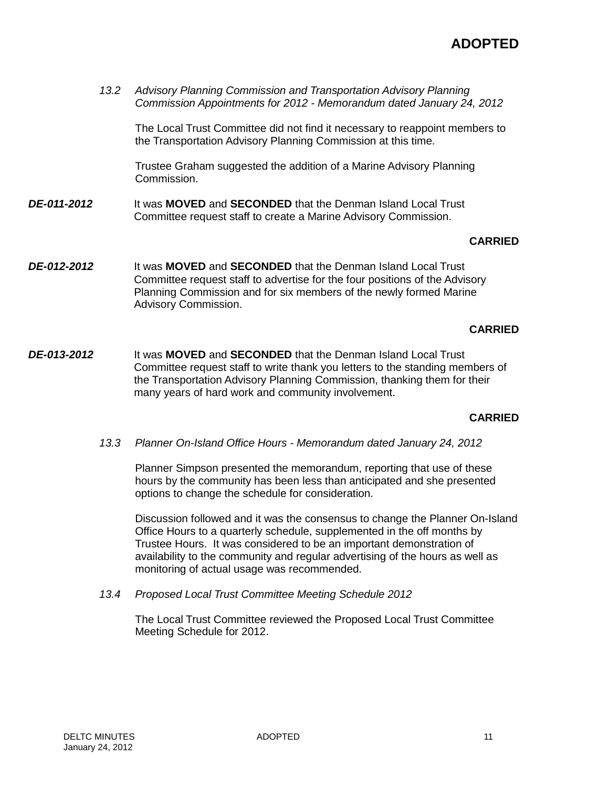*13.2 Advisory Planning Commission and Transportation Advisory Planning Commission Appointments for 2012 - Memorandum dated January 24, 2012*

The Local Trust Committee did not find it necessary to reappoint members to the Transportation Advisory Planning Commission at this time.

Trustee Graham suggested the addition of a Marine Advisory Planning Commission.

*DE-011-2012* It was **MOVED** and **SECONDED** that the Denman Island Local Trust Committee request staff to create a Marine Advisory Commission.

### **CARRIED**

*DE-012-2012* It was **MOVED** and **SECONDED** that the Denman Island Local Trust Committee request staff to advertise for the four positions of the Advisory Planning Commission and for six members of the newly formed Marine Advisory Commission.

#### **CARRIED**

*DE-013-2012* It was **MOVED** and **SECONDED** that the Denman Island Local Trust Committee request staff to write thank you letters to the standing members of the Transportation Advisory Planning Commission, thanking them for their many years of hard work and community involvement.

#### **CARRIED**

*13.3 Planner On-Island Office Hours - Memorandum dated January 24, 2012*

Planner Simpson presented the memorandum, reporting that use of these hours by the community has been less than anticipated and she presented options to change the schedule for consideration.

Discussion followed and it was the consensus to change the Planner On-Island Office Hours to a quarterly schedule, supplemented in the off months by Trustee Hours. It was considered to be an important demonstration of availability to the community and regular advertising of the hours as well as monitoring of actual usage was recommended.

*13.4 Proposed Local Trust Committee Meeting Schedule 2012*

The Local Trust Committee reviewed the Proposed Local Trust Committee Meeting Schedule for 2012.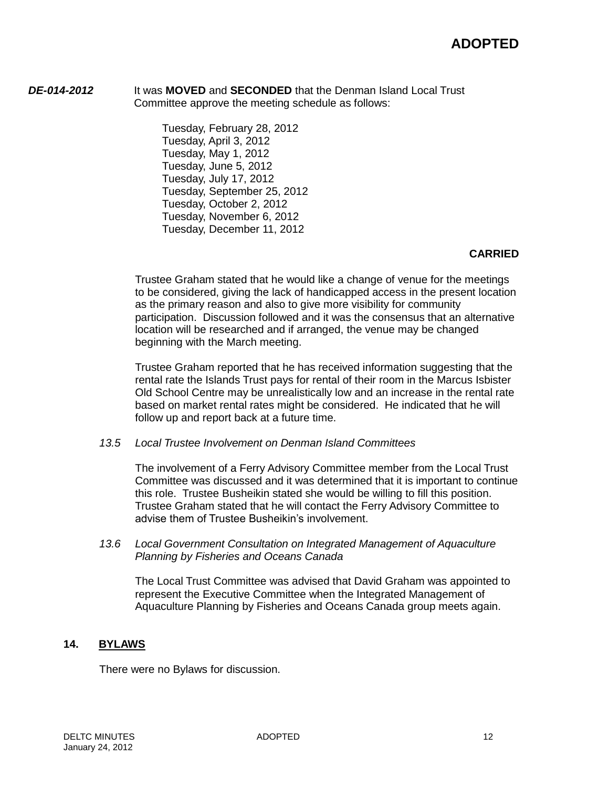*DE-014-2012* It was **MOVED** and **SECONDED** that the Denman Island Local Trust Committee approve the meeting schedule as follows:

> Tuesday, February 28, 2012 Tuesday, April 3, 2012 Tuesday, May 1, 2012 Tuesday, June 5, 2012 Tuesday, July 17, 2012 Tuesday, September 25, 2012 Tuesday, October 2, 2012 Tuesday, November 6, 2012 Tuesday, December 11, 2012

## **CARRIED**

Trustee Graham stated that he would like a change of venue for the meetings to be considered, giving the lack of handicapped access in the present location as the primary reason and also to give more visibility for community participation. Discussion followed and it was the consensus that an alternative location will be researched and if arranged, the venue may be changed beginning with the March meeting.

Trustee Graham reported that he has received information suggesting that the rental rate the Islands Trust pays for rental of their room in the Marcus Isbister Old School Centre may be unrealistically low and an increase in the rental rate based on market rental rates might be considered. He indicated that he will follow up and report back at a future time.

*13.5 Local Trustee Involvement on Denman Island Committees*

The involvement of a Ferry Advisory Committee member from the Local Trust Committee was discussed and it was determined that it is important to continue this role. Trustee Busheikin stated she would be willing to fill this position. Trustee Graham stated that he will contact the Ferry Advisory Committee to advise them of Trustee Busheikin's involvement.

*13.6 Local Government Consultation on Integrated Management of Aquaculture Planning by Fisheries and Oceans Canada*

The Local Trust Committee was advised that David Graham was appointed to represent the Executive Committee when the Integrated Management of Aquaculture Planning by Fisheries and Oceans Canada group meets again.

# **14. BYLAWS**

There were no Bylaws for discussion.